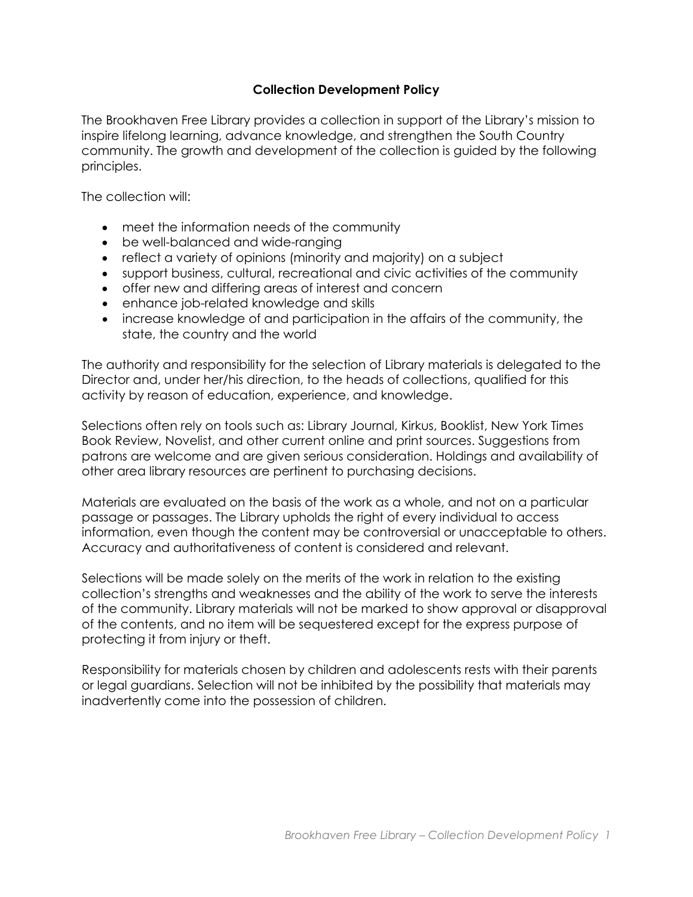## **Collection Development Policy**

The Brookhaven Free Library provides a collection in support of the Library's mission to inspire lifelong learning, advance knowledge, and strengthen the South Country community. The growth and development of the collection is guided by the following principles.

The collection will:

- meet the information needs of the community
- be well-balanced and wide-ranging
- reflect a variety of opinions (minority and majority) on a subject
- support business, cultural, recreational and civic activities of the community
- offer new and differing areas of interest and concern
- enhance job-related knowledge and skills
- increase knowledge of and participation in the affairs of the community, the state, the country and the world

The authority and responsibility for the selection of Library materials is delegated to the Director and, under her/his direction, to the heads of collections, qualified for this activity by reason of education, experience, and knowledge.

Selections often rely on tools such as: Library Journal, Kirkus, Booklist, New York Times Book Review, Novelist, and other current online and print sources. Suggestions from patrons are welcome and are given serious consideration. Holdings and availability of other area library resources are pertinent to purchasing decisions.

Materials are evaluated on the basis of the work as a whole, and not on a particular passage or passages. The Library upholds the right of every individual to access information, even though the content may be controversial or unacceptable to others. Accuracy and authoritativeness of content is considered and relevant.

Selections will be made solely on the merits of the work in relation to the existing collection's strengths and weaknesses and the ability of the work to serve the interests of the community. Library materials will not be marked to show approval or disapproval of the contents, and no item will be sequestered except for the express purpose of protecting it from injury or theft.

Responsibility for materials chosen by children and adolescents rests with their parents or legal guardians. Selection will not be inhibited by the possibility that materials may inadvertently come into the possession of children.